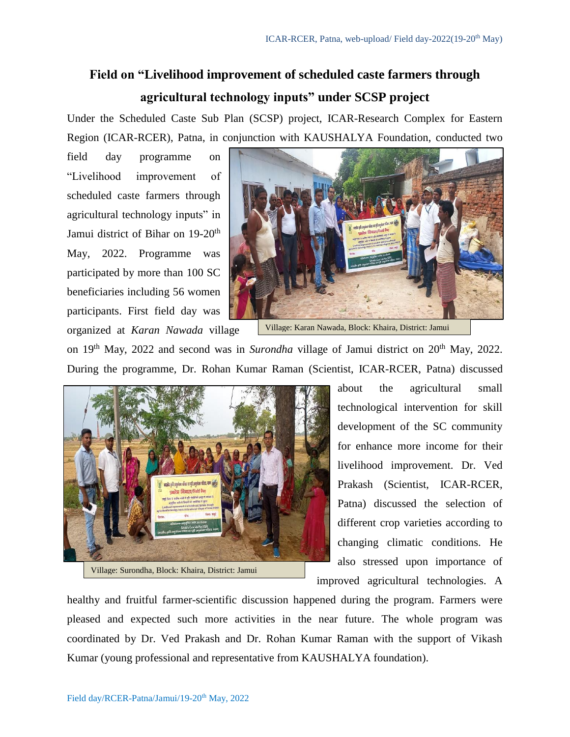## **Field on "Livelihood improvement of scheduled caste farmers through agricultural technology inputs" under SCSP project**

Under the Scheduled Caste Sub Plan (SCSP) project, ICAR-Research Complex for Eastern Region (ICAR-RCER), Patna, in conjunction with KAUSHALYA Foundation, conducted two

field day programme on "Livelihood improvement of scheduled caste farmers through agricultural technology inputs" in Jamui district of Bihar on 19-20<sup>th</sup> May, 2022. Programme was participated by more than 100 SC beneficiaries including 56 women participants. First field day was organized at *Karan Nawada* village



Village: Karan Nawada, Block: Khaira, District: Jamui

on 19<sup>th</sup> May, 2022 and second was in *Surondha* village of Jamui district on 20<sup>th</sup> May, 2022. During the programme, Dr. Rohan Kumar Raman (Scientist, ICAR-RCER, Patna) discussed



about the agricultural small technological intervention for skill development of the SC community for enhance more income for their livelihood improvement. Dr. Ved Prakash (Scientist, ICAR-RCER, Patna) discussed the selection of different crop varieties according to changing climatic conditions. He also stressed upon importance of improved agricultural technologies. A

healthy and fruitful farmer-scientific discussion happened during the program. Farmers were pleased and expected such more activities in the near future. The whole program was coordinated by Dr. Ved Prakash and Dr. Rohan Kumar Raman with the support of Vikash Kumar (young professional and representative from KAUSHALYA foundation).